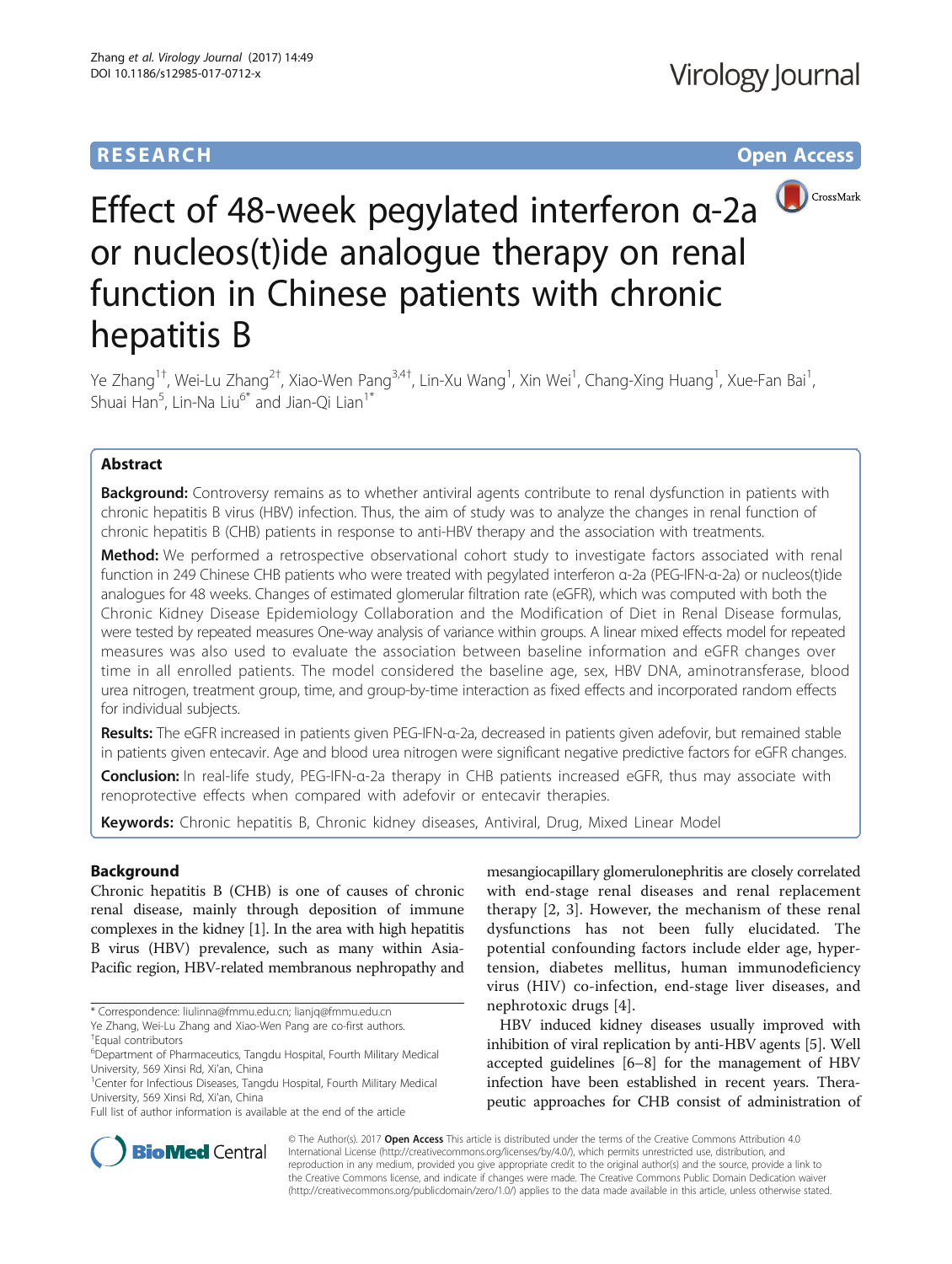# **RESEARCH CHILD CONTROL** CONTROL CONTROL CONTROL CONTROL CONTROL CONTROL CONTROL CONTROL CONTROL CONTROL CONTROL CONTROL CONTROL CONTROL CONTROL CONTROL CONTROL CONTROL CONTROL CONTROL CONTROL CONTROL CONTROL CONTROL CONTR



# Effect of 48-week pegylated interferon α-2a or nucleos(t)ide analogue therapy on renal function in Chinese patients with chronic hepatitis B

Ye Zhang<sup>1†</sup>, Wei-Lu Zhang<sup>2†</sup>, Xiao-Wen Pang<sup>3,4†</sup>, Lin-Xu Wang<sup>1</sup>, Xin Wei<sup>1</sup>, Chang-Xing Huang<sup>1</sup>, Xue-Fan Bai<sup>1</sup> , Shuai Han<sup>5</sup>, Lin-Na Liu<sup>6\*</sup> and Jian-Qi Lian<sup>1\*</sup>

# Abstract

Background: Controversy remains as to whether antiviral agents contribute to renal dysfunction in patients with chronic hepatitis B virus (HBV) infection. Thus, the aim of study was to analyze the changes in renal function of chronic hepatitis B (CHB) patients in response to anti-HBV therapy and the association with treatments.

Method: We performed a retrospective observational cohort study to investigate factors associated with renal function in 249 Chinese CHB patients who were treated with pegylated interferon α-2a (PEG-IFN-α-2a) or nucleos(t)ide analogues for 48 weeks. Changes of estimated glomerular filtration rate (eGFR), which was computed with both the Chronic Kidney Disease Epidemiology Collaboration and the Modification of Diet in Renal Disease formulas, were tested by repeated measures One-way analysis of variance within groups. A linear mixed effects model for repeated measures was also used to evaluate the association between baseline information and eGFR changes over time in all enrolled patients. The model considered the baseline age, sex, HBV DNA, aminotransferase, blood urea nitrogen, treatment group, time, and group-by-time interaction as fixed effects and incorporated random effects for individual subjects.

Results: The eGFR increased in patients given PEG-IFN-α-2a, decreased in patients given adefovir, but remained stable in patients given entecavir. Age and blood urea nitrogen were significant negative predictive factors for eGFR changes.

Conclusion: In real-life study, PEG-IFN-α-2a therapy in CHB patients increased eGFR, thus may associate with renoprotective effects when compared with adefovir or entecavir therapies.

Keywords: Chronic hepatitis B, Chronic kidney diseases, Antiviral, Drug, Mixed Linear Model

# Background

Chronic hepatitis B (CHB) is one of causes of chronic renal disease, mainly through deposition of immune complexes in the kidney [[1](#page-6-0)]. In the area with high hepatitis B virus (HBV) prevalence, such as many within Asia-Pacific region, HBV-related membranous nephropathy and mesangiocapillary glomerulonephritis are closely correlated with end-stage renal diseases and renal replacement therapy [\[2](#page-6-0), [3](#page-6-0)]. However, the mechanism of these renal dysfunctions has not been fully elucidated. The potential confounding factors include elder age, hypertension, diabetes mellitus, human immunodeficiency virus (HIV) co-infection, end-stage liver diseases, and nephrotoxic drugs [\[4](#page-6-0)].

HBV induced kidney diseases usually improved with inhibition of viral replication by anti-HBV agents [[5](#page-6-0)]. Well accepted guidelines [\[6](#page-6-0)–[8\]](#page-6-0) for the management of HBV infection have been established in recent years. Therapeutic approaches for CHB consist of administration of



© The Author(s). 2017 **Open Access** This article is distributed under the terms of the Creative Commons Attribution 4.0 International License [\(http://creativecommons.org/licenses/by/4.0/](http://creativecommons.org/licenses/by/4.0/)), which permits unrestricted use, distribution, and reproduction in any medium, provided you give appropriate credit to the original author(s) and the source, provide a link to the Creative Commons license, and indicate if changes were made. The Creative Commons Public Domain Dedication waiver [\(http://creativecommons.org/publicdomain/zero/1.0/](http://creativecommons.org/publicdomain/zero/1.0/)) applies to the data made available in this article, unless otherwise stated.

<sup>\*</sup> Correspondence: [liulinna@fmmu.edu.cn;](mailto:liulinna@fmmu.edu.cn) [lianjq@fmmu.edu.cn](mailto:lianjq@fmmu.edu.cn) Ye Zhang, Wei-Lu Zhang and Xiao-Wen Pang are co-first authors.

<sup>†</sup> Equal contributors

<sup>6</sup> Department of Pharmaceutics, Tangdu Hospital, Fourth Military Medical University, 569 Xinsi Rd, Xi'an, China <sup>1</sup>

<sup>&</sup>lt;sup>1</sup> Center for Infectious Diseases, Tangdu Hospital, Fourth Military Medical University, 569 Xinsi Rd, Xi'an, China

Full list of author information is available at the end of the article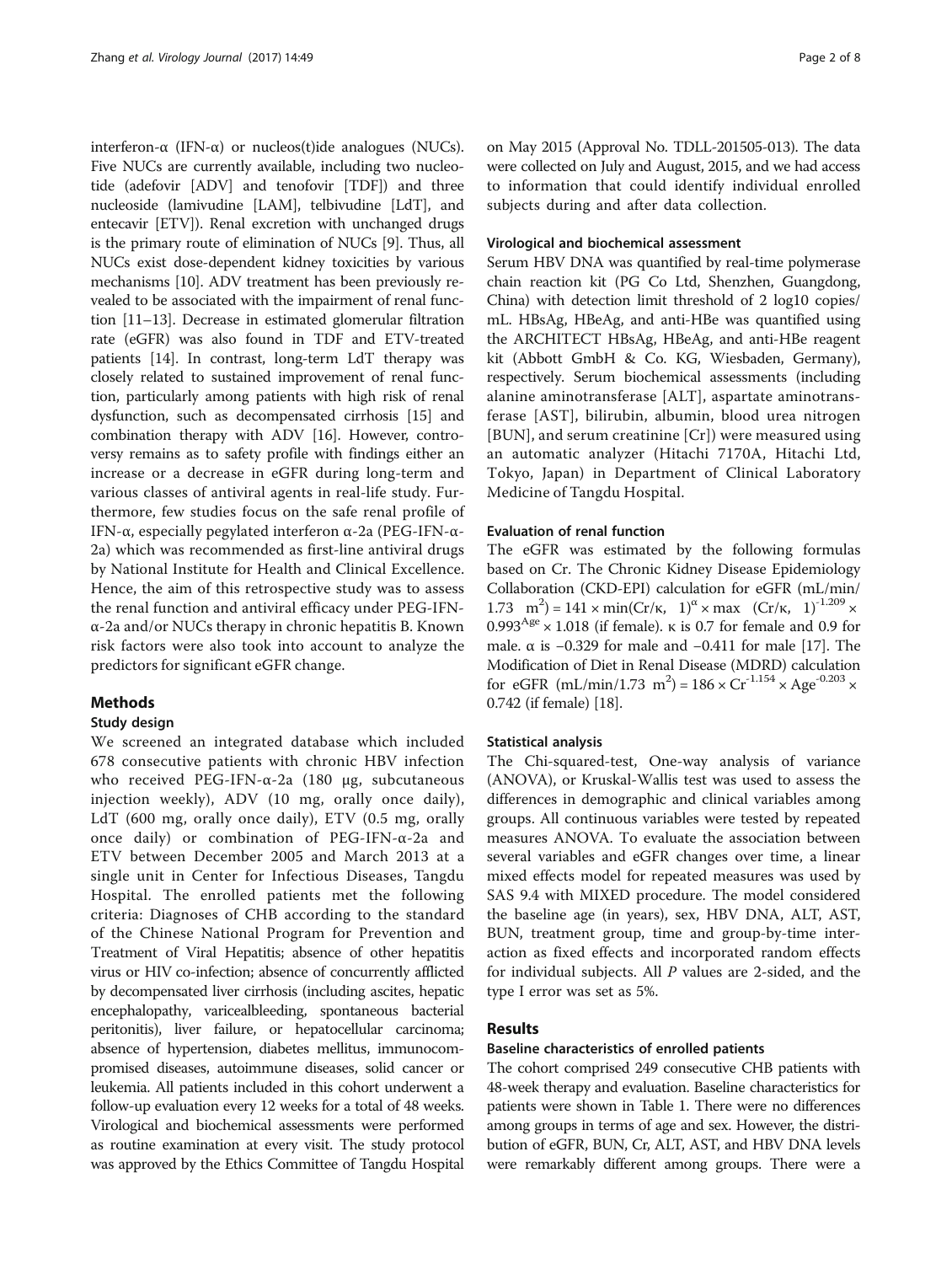interferon-α (IFN-α) or nucleos(t)ide analogues (NUCs). Five NUCs are currently available, including two nucleotide (adefovir [ADV] and tenofovir [TDF]) and three nucleoside (lamivudine [LAM], telbivudine [LdT], and entecavir [ETV]). Renal excretion with unchanged drugs is the primary route of elimination of NUCs [\[9](#page-6-0)]. Thus, all NUCs exist dose-dependent kidney toxicities by various mechanisms [[10](#page-6-0)]. ADV treatment has been previously revealed to be associated with the impairment of renal function [[11](#page-6-0)–[13\]](#page-6-0). Decrease in estimated glomerular filtration rate (eGFR) was also found in TDF and ETV-treated patients [[14\]](#page-6-0). In contrast, long-term LdT therapy was closely related to sustained improvement of renal function, particularly among patients with high risk of renal dysfunction, such as decompensated cirrhosis [[15](#page-6-0)] and combination therapy with ADV [\[16](#page-6-0)]. However, controversy remains as to safety profile with findings either an increase or a decrease in eGFR during long-term and various classes of antiviral agents in real-life study. Furthermore, few studies focus on the safe renal profile of IFN-α, especially pegylated interferon α-2a (PEG-IFN-α-2a) which was recommended as first-line antiviral drugs by National Institute for Health and Clinical Excellence. Hence, the aim of this retrospective study was to assess the renal function and antiviral efficacy under PEG-IFNα-2a and/or NUCs therapy in chronic hepatitis B. Known risk factors were also took into account to analyze the predictors for significant eGFR change.

# Methods

# Study design

We screened an integrated database which included 678 consecutive patients with chronic HBV infection who received PEG-IFN-α-2a (180 μg, subcutaneous injection weekly), ADV (10 mg, orally once daily), LdT (600 mg, orally once daily), ETV (0.5 mg, orally once daily) or combination of PEG-IFN-α-2a and ETV between December 2005 and March 2013 at a single unit in Center for Infectious Diseases, Tangdu Hospital. The enrolled patients met the following criteria: Diagnoses of CHB according to the standard of the Chinese National Program for Prevention and Treatment of Viral Hepatitis; absence of other hepatitis virus or HIV co-infection; absence of concurrently afflicted by decompensated liver cirrhosis (including ascites, hepatic encephalopathy, varicealbleeding, spontaneous bacterial peritonitis), liver failure, or hepatocellular carcinoma; absence of hypertension, diabetes mellitus, immunocompromised diseases, autoimmune diseases, solid cancer or leukemia. All patients included in this cohort underwent a follow-up evaluation every 12 weeks for a total of 48 weeks. Virological and biochemical assessments were performed as routine examination at every visit. The study protocol was approved by the Ethics Committee of Tangdu Hospital on May 2015 (Approval No. TDLL-201505-013). The data were collected on July and August, 2015, and we had access to information that could identify individual enrolled subjects during and after data collection.

## Virological and biochemical assessment

Serum HBV DNA was quantified by real-time polymerase chain reaction kit (PG Co Ltd, Shenzhen, Guangdong, China) with detection limit threshold of 2 log10 copies/ mL. HBsAg, HBeAg, and anti-HBe was quantified using the ARCHITECT HBsAg, HBeAg, and anti-HBe reagent kit (Abbott GmbH & Co. KG, Wiesbaden, Germany), respectively. Serum biochemical assessments (including alanine aminotransferase [ALT], aspartate aminotransferase [AST], bilirubin, albumin, blood urea nitrogen [BUN], and serum creatinine [Cr]) were measured using an automatic analyzer (Hitachi 7170A, Hitachi Ltd, Tokyo, Japan) in Department of Clinical Laboratory Medicine of Tangdu Hospital.

# Evaluation of renal function

The eGFR was estimated by the following formulas based on Cr. The Chronic Kidney Disease Epidemiology Collaboration (CKD-EPI) calculation for eGFR (mL/min/ 1.73 m<sup>2</sup>) = 141 × min(Cr/κ, 1)<sup>α</sup> × max (Cr/κ, 1)<sup>-1.209</sup> ×  $0.993<sup>Age</sup> \times 1.018$  (if female).  $\kappa$  is 0.7 for female and 0.9 for male.  $\alpha$  is −0.329 for male and −0.411 for male [\[17](#page-6-0)]. The Modification of Diet in Renal Disease (MDRD) calculation for eGFR (mL/min/1.73 m<sup>2</sup>) =  $186 \times Cr^{-1.154} \times Age^{-0.203} \times$ 0.742 (if female) [[18](#page-6-0)].

## Statistical analysis

The Chi-squared-test, One-way analysis of variance (ANOVA), or Kruskal-Wallis test was used to assess the differences in demographic and clinical variables among groups. All continuous variables were tested by repeated measures ANOVA. To evaluate the association between several variables and eGFR changes over time, a linear mixed effects model for repeated measures was used by SAS 9.4 with MIXED procedure. The model considered the baseline age (in years), sex, HBV DNA, ALT, AST, BUN, treatment group, time and group-by-time interaction as fixed effects and incorporated random effects for individual subjects. All P values are 2-sided, and the type I error was set as 5%.

# Results

## Baseline characteristics of enrolled patients

The cohort comprised 249 consecutive CHB patients with 48-week therapy and evaluation. Baseline characteristics for patients were shown in Table [1](#page-2-0). There were no differences among groups in terms of age and sex. However, the distribution of eGFR, BUN, Cr, ALT, AST, and HBV DNA levels were remarkably different among groups. There were a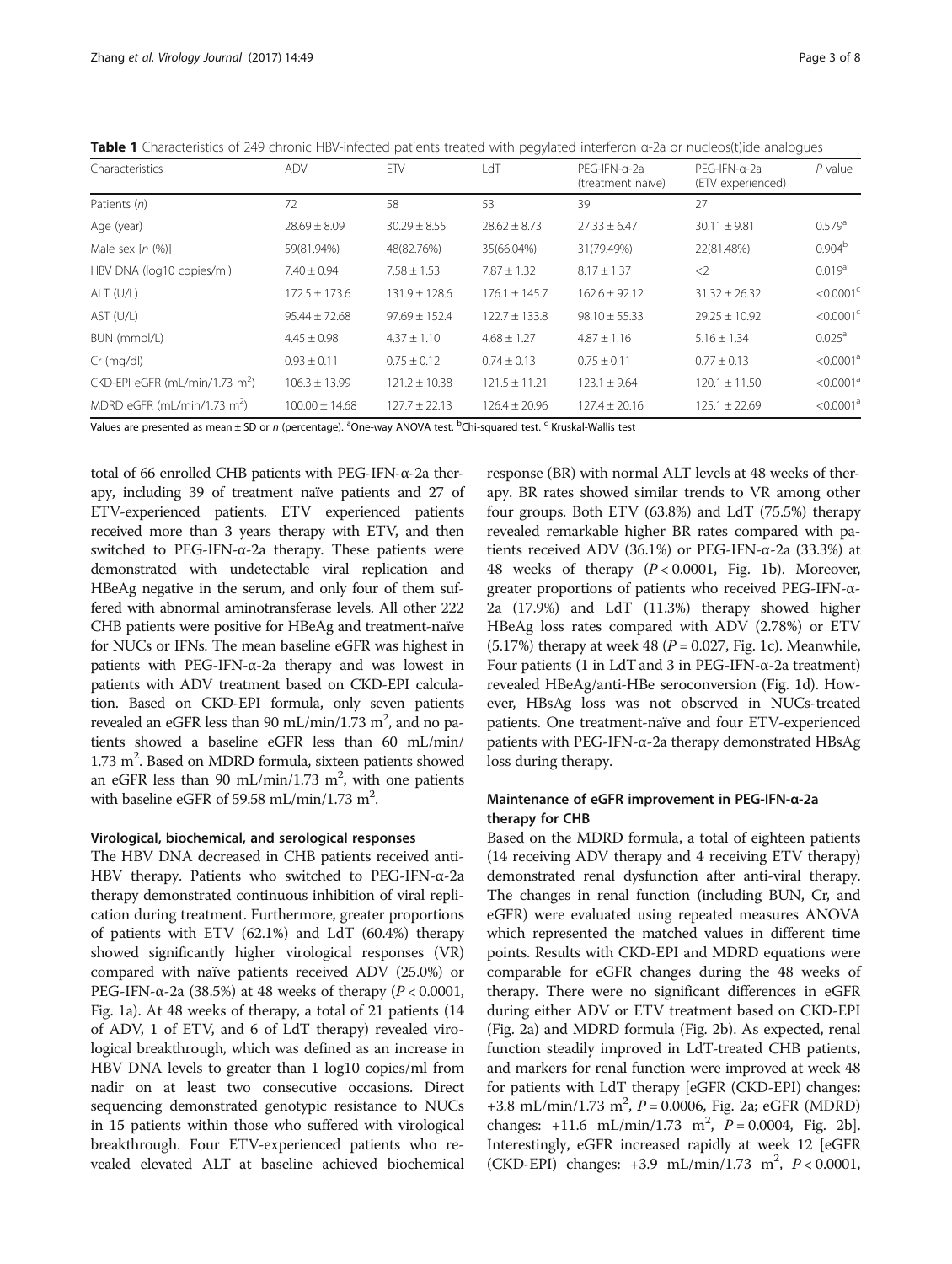<span id="page-2-0"></span>

|  | Table 1 Characteristics of 249 chronic HBV-infected patients treated with pegylated interferon a-2a or nucleos(t)ide analogues |  |  |  |  |
|--|--------------------------------------------------------------------------------------------------------------------------------|--|--|--|--|
|--|--------------------------------------------------------------------------------------------------------------------------------|--|--|--|--|

| Characteristics                            | <b>ADV</b>        | ETV               | LdT               | PEG-IFN-a-2a<br>(treatment naïve) | PEG-IFN-a-2a<br>(ETV experienced) | $P$ value               |
|--------------------------------------------|-------------------|-------------------|-------------------|-----------------------------------|-----------------------------------|-------------------------|
| Patients (n)                               | 72                | 58                | 53                | 39                                | 27                                |                         |
| Age (year)                                 | $28.69 \pm 8.09$  | $30.29 \pm 8.55$  | $28.62 \pm 8.73$  | $27.33 \pm 6.47$                  | $30.11 \pm 9.81$                  | $0.579$ <sup>a</sup>    |
| Male sex $[n (%)]$                         | 59(81.94%)        | 48(82.76%)        | 35(66.04%)        | 31(79.49%)                        | 22(81.48%)                        | 0.904 <sup>b</sup>      |
| HBV DNA (log10 copies/ml)                  | $7.40 \pm 0.94$   | $7.58 \pm 1.53$   | $7.87 \pm 1.32$   | $8.17 \pm 1.37$                   | $\langle$ 2                       | 0.019 <sup>a</sup>      |
| ALT (U/L)                                  | $172.5 \pm 173.6$ | $131.9 \pm 128.6$ | $176.1 \pm 145.7$ | $162.6 \pm 92.12$                 | $31.32 \pm 26.32$                 | $< 0.0001$ <sup>c</sup> |
| AST (U/L)                                  | $95.44 \pm 72.68$ | $97.69 + 152.4$   | $122.7 + 133.8$   | $98.10 \pm 55.33$                 | $29.25 + 10.92$                   | $< 0.0001$ <sup>c</sup> |
| BUN (mmol/L)                               | $4.45 + 0.98$     | $4.37 + 1.10$     | $4.68 \pm 1.27$   | $4.87 + 1.16$                     | $5.16 \pm 1.34$                   | $0.025^{\circ}$         |
| $Cr$ (mg/dl)                               | $0.93 \pm 0.11$   | $0.75 \pm 0.12$   | $0.74 \pm 0.13$   | $0.75 \pm 0.11$                   | $0.77 \pm 0.13$                   | < 0.0001 <sup>a</sup>   |
| CKD-EPI eGFR (mL/min/1.73 m <sup>2</sup> ) | $106.3 + 13.99$   | $121.2 + 10.38$   | $121.5 \pm 11.21$ | $123.1 + 9.64$                    | $120.1 \pm 11.50$                 | < 0.0001 <sup>a</sup>   |
| MDRD eGFR (mL/min/1.73 m <sup>2</sup> )    | $100.00 + 14.68$  | $127.7 + 22.13$   | $126.4 + 20.96$   | $127.4 + 20.16$                   | $125.1 + 22.69$                   | < 0.0001 <sup>a</sup>   |

Values are presented as mean ± SD or *n* (percentage). <sup>a</sup>One-way ANOVA test. <sup>b</sup>Chi-squared test. <sup>c</sup> Kruskal-Wallis test<br>

total of 66 enrolled CHB patients with PEG-IFN-α-2a therapy, including 39 of treatment naïve patients and 27 of ETV-experienced patients. ETV experienced patients received more than 3 years therapy with ETV, and then switched to PEG-IFN- $α$ -2a therapy. These patients were demonstrated with undetectable viral replication and HBeAg negative in the serum, and only four of them suffered with abnormal aminotransferase levels. All other 222 CHB patients were positive for HBeAg and treatment-naïve for NUCs or IFNs. The mean baseline eGFR was highest in patients with PEG-IFN-α-2a therapy and was lowest in patients with ADV treatment based on CKD-EPI calculation. Based on CKD-EPI formula, only seven patients revealed an eGFR less than 90 mL/min/1.73 m<sup>2</sup>, and no patients showed a baseline eGFR less than 60 mL/min/ 1.73 m<sup>2</sup>. Based on MDRD formula, sixteen patients showed an eGFR less than 90 mL/min/1.73  $m^2$ , with one patients with baseline eGFR of 59.58 mL/min/1.73 m<sup>2</sup>.

# Virological, biochemical, and serological responses

The HBV DNA decreased in CHB patients received anti-HBV therapy. Patients who switched to PEG-IFN-α-2a therapy demonstrated continuous inhibition of viral replication during treatment. Furthermore, greater proportions of patients with ETV (62.1%) and LdT (60.4%) therapy showed significantly higher virological responses (VR) compared with naïve patients received ADV (25.0%) or PEG-IFN-α-2a (38.5%) at 48 weeks of therapy ( $P < 0.0001$ , Fig. [1a](#page-3-0)). At 48 weeks of therapy, a total of 21 patients (14 of ADV, 1 of ETV, and 6 of LdT therapy) revealed virological breakthrough, which was defined as an increase in HBV DNA levels to greater than 1 log10 copies/ml from nadir on at least two consecutive occasions. Direct sequencing demonstrated genotypic resistance to NUCs in 15 patients within those who suffered with virological breakthrough. Four ETV-experienced patients who revealed elevated ALT at baseline achieved biochemical response (BR) with normal ALT levels at 48 weeks of therapy. BR rates showed similar trends to VR among other four groups. Both ETV (63.8%) and LdT (75.5%) therapy revealed remarkable higher BR rates compared with patients received ADV (36.1%) or PEG-IFN-α-2a (33.3%) at 48 weeks of therapy  $(P < 0.0001$ , Fig. [1b](#page-3-0)). Moreover, greater proportions of patients who received PEG-IFN-α-2a (17.9%) and LdT (11.3%) therapy showed higher HBeAg loss rates compared with ADV (2.78%) or ETV (5.17%) therapy at week 48 ( $P = 0.027$ , Fig. [1c\)](#page-3-0). Meanwhile, Four patients (1 in LdT and 3 in PEG-IFN-α-2a treatment) revealed HBeAg/anti-HBe seroconversion (Fig. [1d](#page-3-0)). However, HBsAg loss was not observed in NUCs-treated patients. One treatment-naïve and four ETV-experienced patients with PEG-IFN-α-2a therapy demonstrated HBsAg loss during therapy.

# Maintenance of eGFR improvement in PEG-IFN-α-2a therapy for CHB

Based on the MDRD formula, a total of eighteen patients (14 receiving ADV therapy and 4 receiving ETV therapy) demonstrated renal dysfunction after anti-viral therapy. The changes in renal function (including BUN, Cr, and eGFR) were evaluated using repeated measures ANOVA which represented the matched values in different time points. Results with CKD-EPI and MDRD equations were comparable for eGFR changes during the 48 weeks of therapy. There were no significant differences in eGFR during either ADV or ETV treatment based on CKD-EPI (Fig. [2a](#page-3-0)) and MDRD formula (Fig. [2b\)](#page-3-0). As expected, renal function steadily improved in LdT-treated CHB patients, and markers for renal function were improved at week 48 for patients with LdT therapy [eGFR (CKD-EPI) changes: +3.8 mL/min/1.73 m<sup>2</sup>,  $P = 0.0006$ , Fig. [2a](#page-3-0); eGFR (MDRD) changes:  $+11.6$  mL/min/1.73 m<sup>2</sup>,  $P = 0.0004$ , Fig. [2b](#page-3-0)]. Interestingly, eGFR increased rapidly at week 12 [eGFR (CKD-EPI) changes:  $+3.9 \text{ mL/min}/1.73 \text{ m}^2$ ,  $P < 0.0001$ ,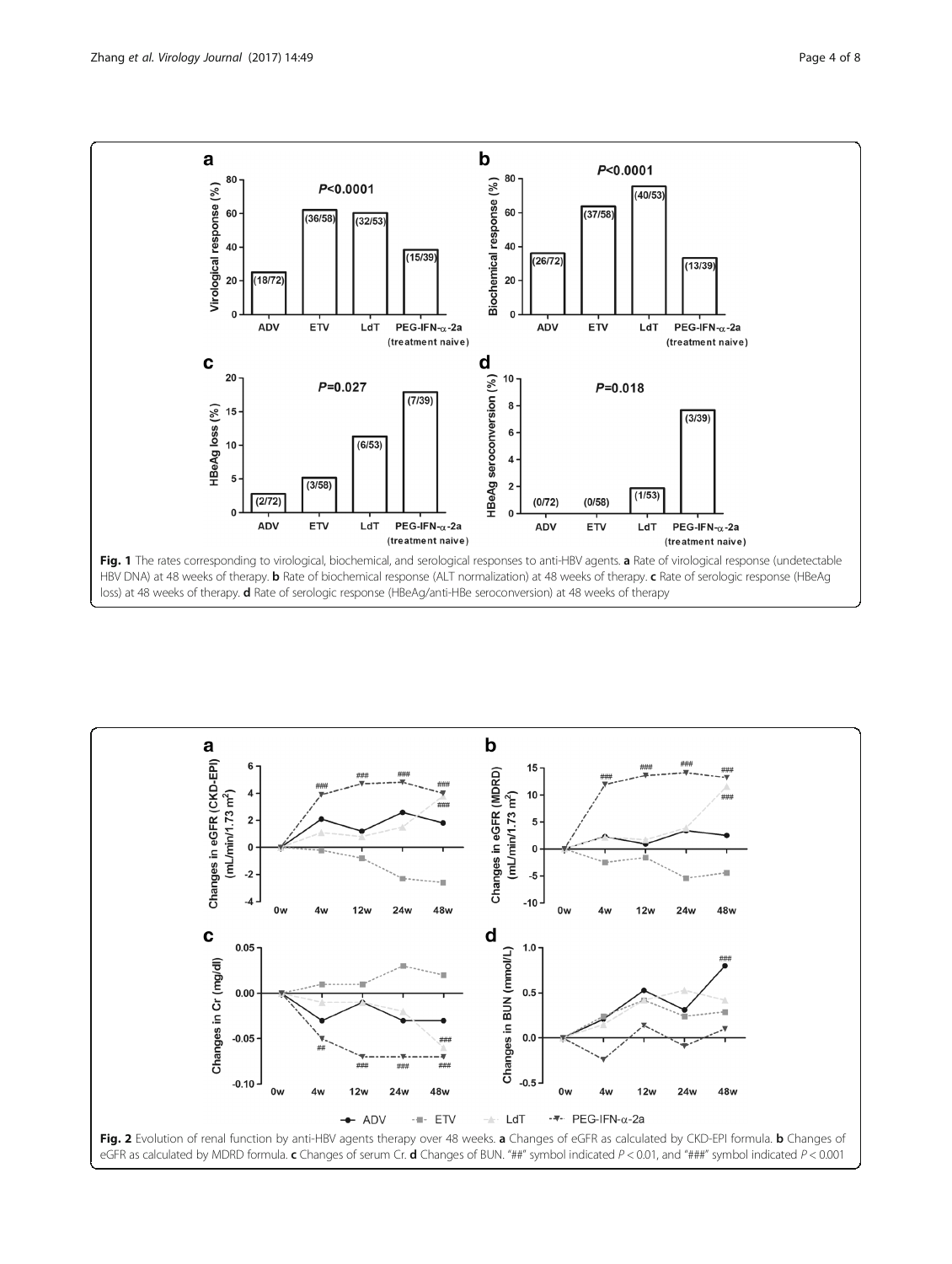<span id="page-3-0"></span>

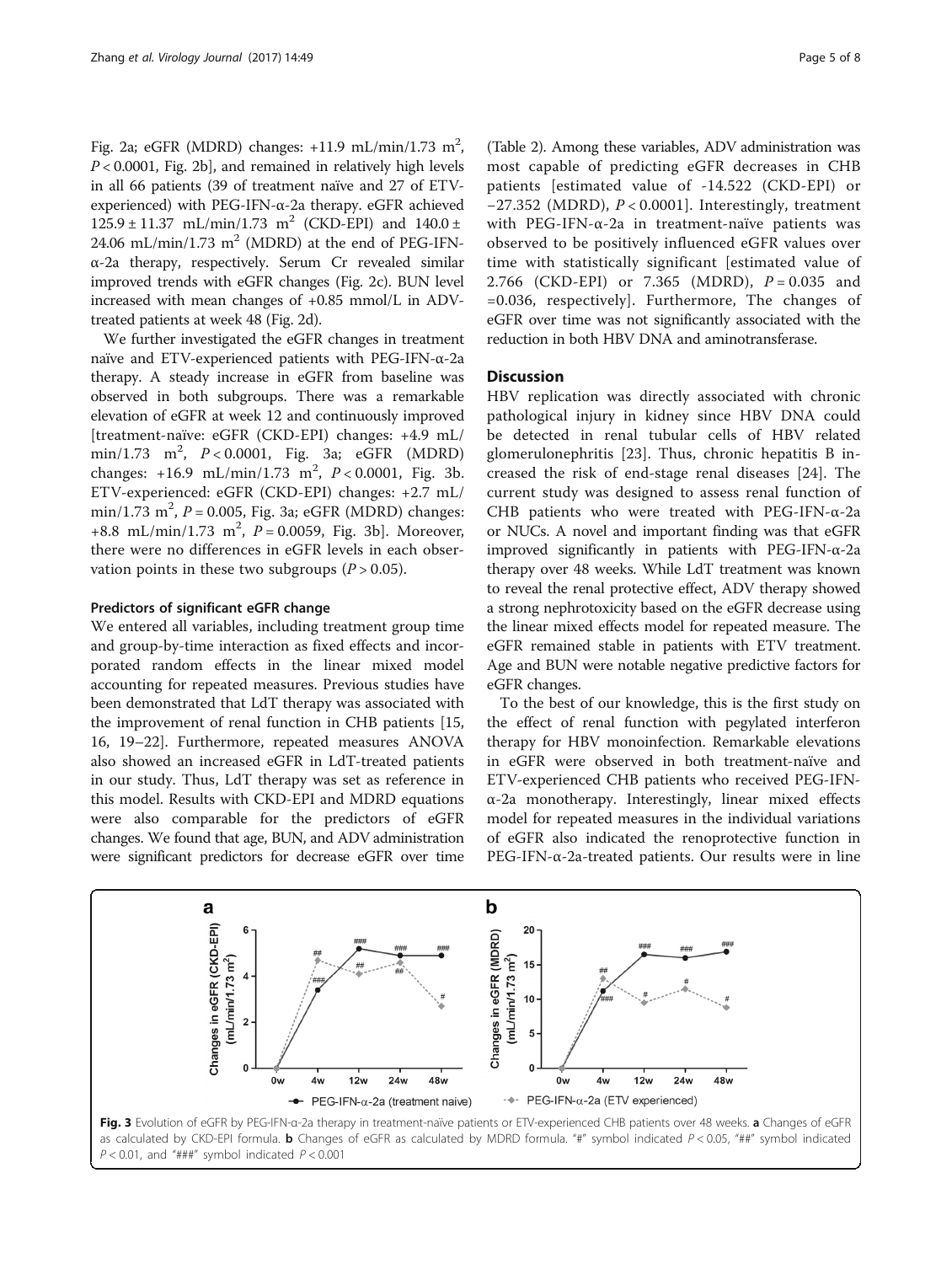Fig. [2a;](#page-3-0) eGFR (MDRD) changes:  $+11.9$  mL/min/1.73 m<sup>2</sup>,  $P < 0.0001$ , Fig. [2b](#page-3-0)], and remained in relatively high levels in all 66 patients (39 of treatment naïve and 27 of ETVexperienced) with PEG-IFN-α-2a therapy. eGFR achieved  $125.9 \pm 11.37 \text{ mL/min}/1.73 \text{ m}^2 \text{ (CKD-EPI)}$  and  $140.0 \pm 1.37 \text{ mL/min}$ 24.06 mL/min/1.73 m<sup>2</sup> (MDRD) at the end of PEG-IFNα-2a therapy, respectively. Serum Cr revealed similar improved trends with eGFR changes (Fig. [2c\)](#page-3-0). BUN level increased with mean changes of +0.85 mmol/L in ADVtreated patients at week 48 (Fig. [2d](#page-3-0)).

We further investigated the eGFR changes in treatment naïve and ETV-experienced patients with PEG-IFN-α-2a therapy. A steady increase in eGFR from baseline was observed in both subgroups. There was a remarkable elevation of eGFR at week 12 and continuously improved [treatment-naïve: eGFR (CKD-EPI) changes: +4.9 mL/ min/1.73 m<sup>2</sup>, P < 0.0001, Fig. 3a; eGFR (MDRD) changes:  $+16.9$  mL/min/1.73 m<sup>2</sup>,  $P < 0.0001$ , Fig. 3b. ETV-experienced: eGFR (CKD-EPI) changes: +2.7 mL/  $\min/1.73 \text{ m}^2$ ,  $P = 0.005$ , Fig. 3a; eGFR (MDRD) changes: +8.8 mL/min/1.73 m<sup>2</sup>,  $P = 0.0059$ , Fig. 3b]. Moreover, there were no differences in eGFR levels in each observation points in these two subgroups  $(P > 0.05)$ .

### Predictors of significant eGFR change

We entered all variables, including treatment group time and group-by-time interaction as fixed effects and incorporated random effects in the linear mixed model accounting for repeated measures. Previous studies have been demonstrated that LdT therapy was associated with the improvement of renal function in CHB patients [[15](#page-6-0), [16, 19](#page-6-0)–[22](#page-6-0)]. Furthermore, repeated measures ANOVA also showed an increased eGFR in LdT-treated patients in our study. Thus, LdT therapy was set as reference in this model. Results with CKD-EPI and MDRD equations were also comparable for the predictors of eGFR changes. We found that age, BUN, and ADV administration were significant predictors for decrease eGFR over time

(Table [2\)](#page-5-0). Among these variables, ADV administration was most capable of predicting eGFR decreases in CHB patients [estimated value of -14.522 (CKD-EPI) or −27.352 (MDRD), P < 0.0001]. Interestingly, treatment with PEG-IFN-α-2a in treatment-naïve patients was observed to be positively influenced eGFR values over time with statistically significant [estimated value of 2.766 (CKD-EPI) or 7.365 (MDRD),  $P = 0.035$  and =0.036, respectively]. Furthermore, The changes of eGFR over time was not significantly associated with the reduction in both HBV DNA and aminotransferase.

### **Discussion**

HBV replication was directly associated with chronic pathological injury in kidney since HBV DNA could be detected in renal tubular cells of HBV related glomerulonephritis [[23\]](#page-7-0). Thus, chronic hepatitis B increased the risk of end-stage renal diseases [[24](#page-7-0)]. The current study was designed to assess renal function of CHB patients who were treated with PEG-IFN-α-2a or NUCs. A novel and important finding was that eGFR improved significantly in patients with PEG-IFN-α-2a therapy over 48 weeks. While LdT treatment was known to reveal the renal protective effect, ADV therapy showed a strong nephrotoxicity based on the eGFR decrease using the linear mixed effects model for repeated measure. The eGFR remained stable in patients with ETV treatment. Age and BUN were notable negative predictive factors for eGFR changes.

To the best of our knowledge, this is the first study on the effect of renal function with pegylated interferon therapy for HBV monoinfection. Remarkable elevations in eGFR were observed in both treatment-naïve and ETV-experienced CHB patients who received PEG-IFNα-2a monotherapy. Interestingly, linear mixed effects model for repeated measures in the individual variations of eGFR also indicated the renoprotective function in PEG-IFN-α-2a-treated patients. Our results were in line

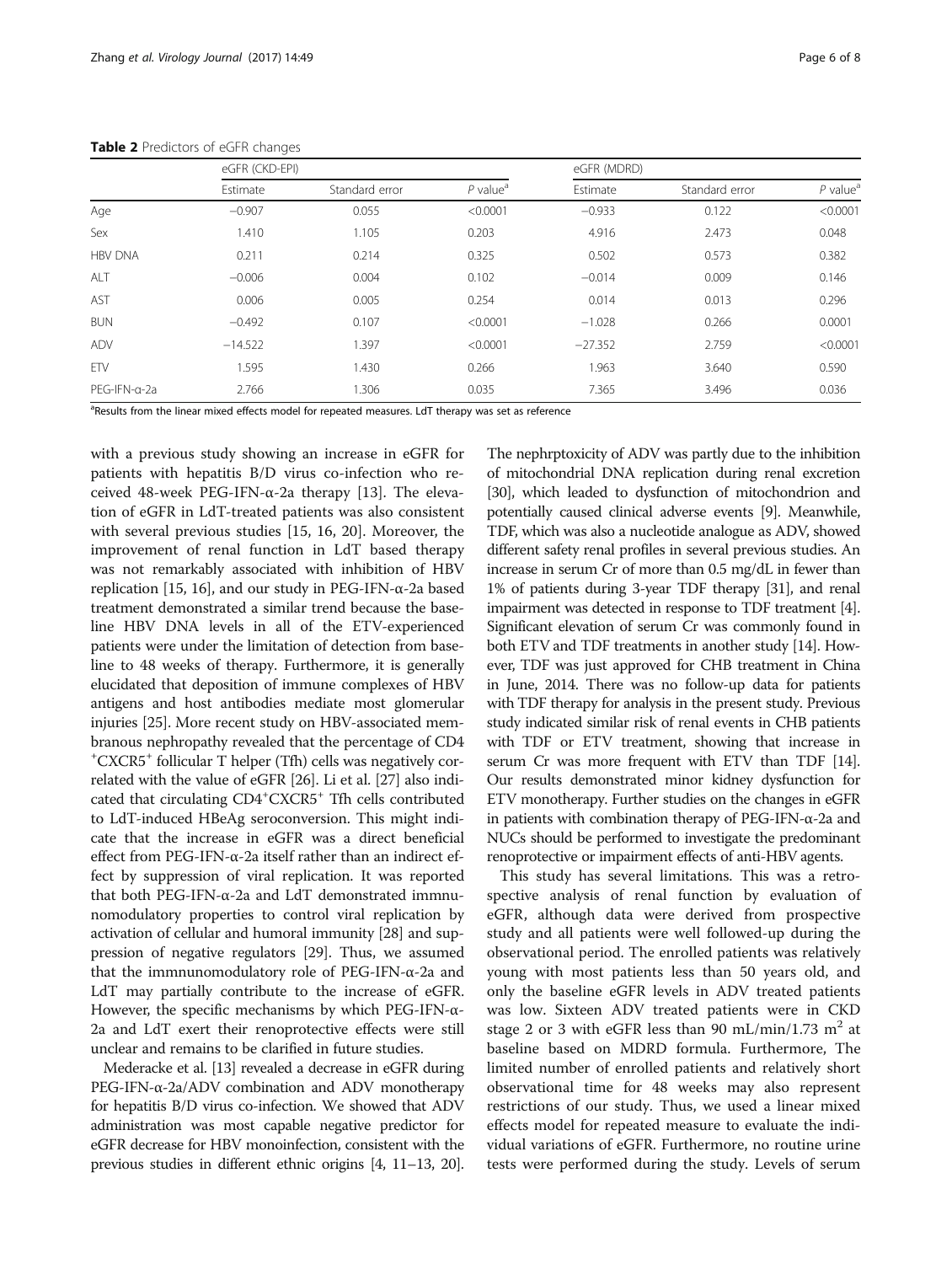|                | eGFR (CKD-EPI) |                |                        | eGFR (MDRD) |                |                        |  |
|----------------|----------------|----------------|------------------------|-------------|----------------|------------------------|--|
|                | Estimate       | Standard error | $P$ value <sup>a</sup> | Estimate    | Standard error | $P$ value <sup>a</sup> |  |
| Age            | $-0.907$       | 0.055          | < 0.0001               | $-0.933$    | 0.122          | < 0.0001               |  |
| Sex            | 1.410          | 1.105          | 0.203                  | 4.916       | 2.473          | 0.048                  |  |
| <b>HBV DNA</b> | 0.211          | 0.214          | 0.325                  | 0.502       | 0.573          | 0.382                  |  |
| ALT            | $-0.006$       | 0.004          | 0.102                  | $-0.014$    | 0.009          | 0.146                  |  |
| AST            | 0.006          | 0.005          | 0.254                  | 0.014       | 0.013          | 0.296                  |  |
| <b>BUN</b>     | $-0.492$       | 0.107          | < 0.0001               | $-1.028$    | 0.266          | 0.0001                 |  |
| ADV            | $-14.522$      | 1.397          | < 0.0001               | $-27.352$   | 2.759          | < 0.0001               |  |
| ETV            | 1.595          | 1.430          | 0.266                  | 1.963       | 3.640          | 0.590                  |  |
| PEG-IFN-a-2a   | 2.766          | 1.306          | 0.035                  | 7.365       | 3.496          | 0.036                  |  |

<span id="page-5-0"></span>Table 2 Predictors of eGFR changes

<sup>a</sup>Results from the linear mixed effects model for repeated measures. LdT therapy was set as reference

with a previous study showing an increase in eGFR for patients with hepatitis B/D virus co-infection who received 48-week PEG-IFN-α-2a therapy [[13\]](#page-6-0). The elevation of eGFR in LdT-treated patients was also consistent with several previous studies [[15, 16](#page-6-0), [20\]](#page-6-0). Moreover, the improvement of renal function in LdT based therapy was not remarkably associated with inhibition of HBV replication [\[15, 16](#page-6-0)], and our study in PEG-IFN- $α$ -2a based treatment demonstrated a similar trend because the baseline HBV DNA levels in all of the ETV-experienced patients were under the limitation of detection from baseline to 48 weeks of therapy. Furthermore, it is generally elucidated that deposition of immune complexes of HBV antigens and host antibodies mediate most glomerular injuries [\[25\]](#page-7-0). More recent study on HBV-associated membranous nephropathy revealed that the percentage of CD4 + CXCR5+ follicular T helper (Tfh) cells was negatively correlated with the value of eGFR [[26](#page-7-0)]. Li et al. [[27](#page-7-0)] also indicated that circulating CD4<sup>+</sup>CXCR5<sup>+</sup> Tfh cells contributed to LdT-induced HBeAg seroconversion. This might indicate that the increase in eGFR was a direct beneficial effect from PEG-IFN-α-2a itself rather than an indirect effect by suppression of viral replication. It was reported that both PEG-IFN-α-2a and LdT demonstrated immnunomodulatory properties to control viral replication by activation of cellular and humoral immunity [[28\]](#page-7-0) and suppression of negative regulators [[29](#page-7-0)]. Thus, we assumed that the immnunomodulatory role of PEG-IFN-α-2a and LdT may partially contribute to the increase of eGFR. However, the specific mechanisms by which PEG-IFN-α-2a and LdT exert their renoprotective effects were still unclear and remains to be clarified in future studies.

Mederacke et al. [\[13\]](#page-6-0) revealed a decrease in eGFR during PEG-IFN-α-2a/ADV combination and ADV monotherapy for hepatitis B/D virus co-infection. We showed that ADV administration was most capable negative predictor for eGFR decrease for HBV monoinfection, consistent with the previous studies in different ethnic origins [[4](#page-6-0), [11](#page-6-0)–[13](#page-6-0), [20](#page-6-0)]. The nephrptoxicity of ADV was partly due to the inhibition of mitochondrial DNA replication during renal excretion [[30](#page-7-0)], which leaded to dysfunction of mitochondrion and potentially caused clinical adverse events [\[9\]](#page-6-0). Meanwhile, TDF, which was also a nucleotide analogue as ADV, showed different safety renal profiles in several previous studies. An increase in serum Cr of more than 0.5 mg/dL in fewer than 1% of patients during 3-year TDF therapy [\[31\]](#page-7-0), and renal impairment was detected in response to TDF treatment [[4](#page-6-0)]. Significant elevation of serum Cr was commonly found in both ETV and TDF treatments in another study [\[14](#page-6-0)]. However, TDF was just approved for CHB treatment in China in June, 2014. There was no follow-up data for patients with TDF therapy for analysis in the present study. Previous study indicated similar risk of renal events in CHB patients with TDF or ETV treatment, showing that increase in serum Cr was more frequent with ETV than TDF [\[14](#page-6-0)]. Our results demonstrated minor kidney dysfunction for ETV monotherapy. Further studies on the changes in eGFR in patients with combination therapy of PEG-IFN-α-2a and NUCs should be performed to investigate the predominant renoprotective or impairment effects of anti-HBV agents.

This study has several limitations. This was a retrospective analysis of renal function by evaluation of eGFR, although data were derived from prospective study and all patients were well followed-up during the observational period. The enrolled patients was relatively young with most patients less than 50 years old, and only the baseline eGFR levels in ADV treated patients was low. Sixteen ADV treated patients were in CKD stage 2 or 3 with eGFR less than 90 mL/min/1.73 m<sup>2</sup> at baseline based on MDRD formula. Furthermore, The limited number of enrolled patients and relatively short observational time for 48 weeks may also represent restrictions of our study. Thus, we used a linear mixed effects model for repeated measure to evaluate the individual variations of eGFR. Furthermore, no routine urine tests were performed during the study. Levels of serum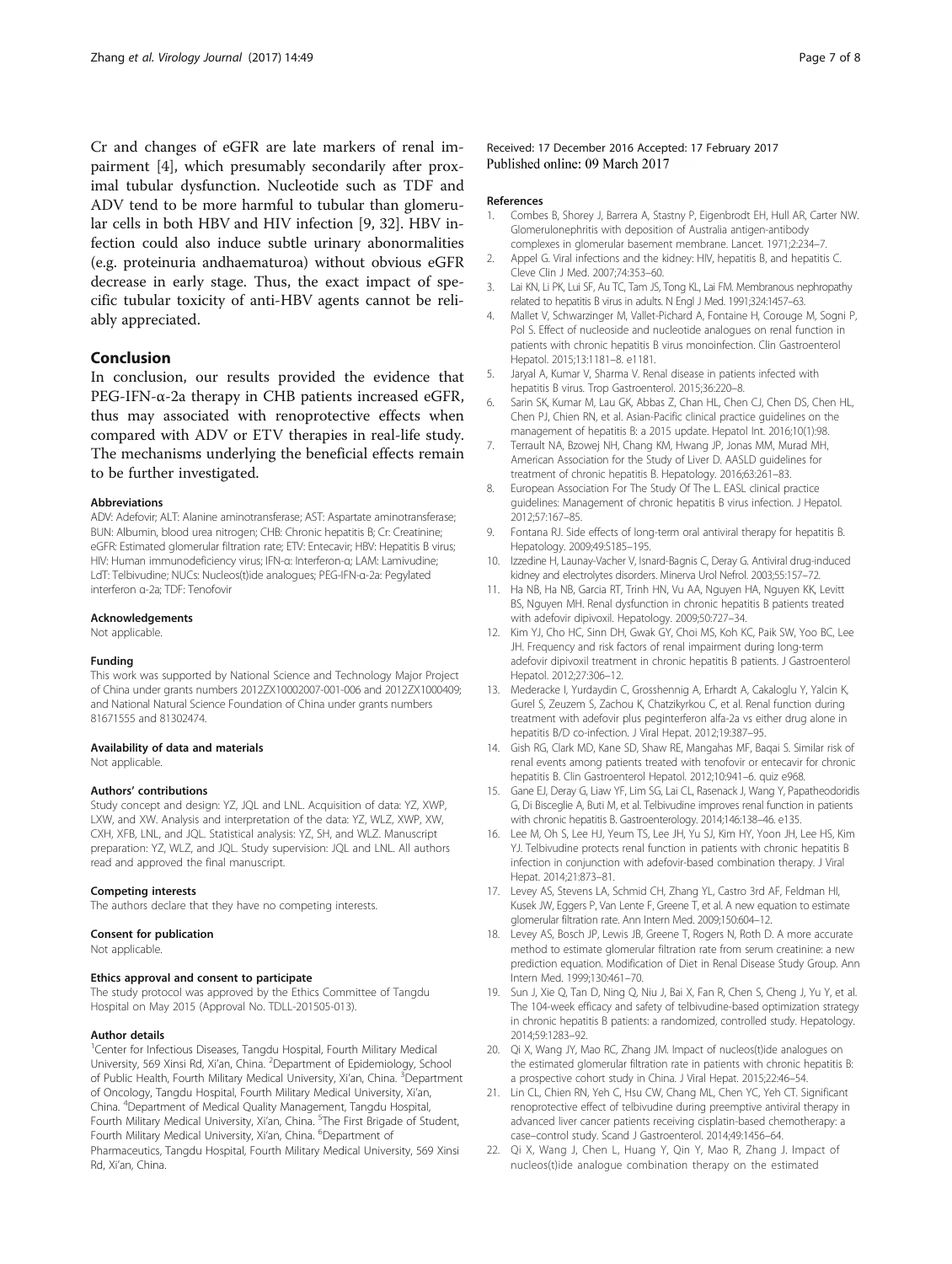<span id="page-6-0"></span>Cr and changes of eGFR are late markers of renal impairment [4], which presumably secondarily after proximal tubular dysfunction. Nucleotide such as TDF and ADV tend to be more harmful to tubular than glomerular cells in both HBV and HIV infection [9, [32](#page-7-0)]. HBV infection could also induce subtle urinary abonormalities (e.g. proteinuria andhaematuroa) without obvious eGFR decrease in early stage. Thus, the exact impact of specific tubular toxicity of anti-HBV agents cannot be reliably appreciated.

# Conclusion

In conclusion, our results provided the evidence that PEG-IFN-α-2a therapy in CHB patients increased eGFR, thus may associated with renoprotective effects when compared with ADV or ETV therapies in real-life study. The mechanisms underlying the beneficial effects remain to be further investigated.

#### Abbreviations

ADV: Adefovir; ALT: Alanine aminotransferase; AST: Aspartate aminotransferase; BUN: Albumin, blood urea nitrogen; CHB: Chronic hepatitis B; Cr: Creatinine; eGFR: Estimated glomerular filtration rate; ETV: Entecavir; HBV: Hepatitis B virus; HIV: Human immunodeficiency virus; IFN-α: Interferon-α; LAM: Lamivudine; LdT: Telbivudine; NUCs: Nucleos(t)ide analogues; PEG-IFN-α-2a: Pegylated interferon α-2a; TDF: Tenofovir

#### Acknowledgements

Not applicable.

#### Funding

This work was supported by National Science and Technology Major Project of China under grants numbers 2012ZX10002007-001-006 and 2012ZX1000409; and National Natural Science Foundation of China under grants numbers 81671555 and 81302474.

## Availability of data and materials

Not applicable.

#### Authors' contributions

Study concept and design: YZ, JQL and LNL. Acquisition of data: YZ, XWP, LXW, and XW. Analysis and interpretation of the data: YZ, WLZ, XWP, XW, CXH, XFB, LNL, and JQL. Statistical analysis: YZ, SH, and WLZ. Manuscript preparation: YZ, WLZ, and JQL. Study supervision: JQL and LNL. All authors read and approved the final manuscript.

#### Competing interests

The authors declare that they have no competing interests.

#### Consent for publication

Not applicable.

#### Ethics approval and consent to participate

The study protocol was approved by the Ethics Committee of Tangdu Hospital on May 2015 (Approval No. TDLL-201505-013).

#### Author details

<sup>1</sup>Center for Infectious Diseases, Tangdu Hospital, Fourth Military Medical University, 569 Xinsi Rd, Xi'an, China. <sup>2</sup>Department of Epidemiology, School of Public Health, Fourth Military Medical University, Xi'an, China. <sup>3</sup>Department of Oncology, Tangdu Hospital, Fourth Military Medical University, Xi'an, China. <sup>4</sup> Department of Medical Quality Management, Tangdu Hospital, Fourth Military Medical University, Xi'an, China. <sup>5</sup>The First Brigade of Student, Fourth Military Medical University, Xi'an, China. <sup>6</sup>Department of Pharmaceutics, Tangdu Hospital, Fourth Military Medical University, 569 Xinsi Rd, Xi'an, China.

#### References

- 1. Combes B, Shorey J, Barrera A, Stastny P, Eigenbrodt EH, Hull AR, Carter NW. Glomerulonephritis with deposition of Australia antigen-antibody complexes in glomerular basement membrane. Lancet. 1971;2:234–7.
- 2. Appel G. Viral infections and the kidney: HIV, hepatitis B, and hepatitis C. Cleve Clin J Med. 2007;74:353–60.
- 3. Lai KN, Li PK, Lui SF, Au TC, Tam JS, Tong KL, Lai FM. Membranous nephropathy related to hepatitis B virus in adults. N Engl J Med. 1991;324:1457–63.
- 4. Mallet V, Schwarzinger M, Vallet-Pichard A, Fontaine H, Corouge M, Sogni P, Pol S. Effect of nucleoside and nucleotide analogues on renal function in patients with chronic hepatitis B virus monoinfection. Clin Gastroenterol Hepatol. 2015;13:1181–8. e1181.
- 5. Jaryal A, Kumar V, Sharma V. Renal disease in patients infected with hepatitis B virus. Trop Gastroenterol. 2015;36:220–8.
- 6. Sarin SK, Kumar M, Lau GK, Abbas Z, Chan HL, Chen CJ, Chen DS, Chen HL, Chen PJ, Chien RN, et al. Asian-Pacific clinical practice guidelines on the management of hepatitis B: a 2015 update. Hepatol Int. 2016;10(1):98.
- 7. Terrault NA, Bzowej NH, Chang KM, Hwang JP, Jonas MM, Murad MH, American Association for the Study of Liver D. AASLD guidelines for treatment of chronic hepatitis B. Hepatology. 2016;63:261–83.
- 8. European Association For The Study Of The L. EASL clinical practice guidelines: Management of chronic hepatitis B virus infection. J Hepatol. 2012;57:167–85.
- 9. Fontana RJ. Side effects of long-term oral antiviral therapy for hepatitis B. Hepatology. 2009;49:S185–195.
- 10. Izzedine H, Launay-Vacher V, Isnard-Bagnis C, Deray G. Antiviral drug-induced kidney and electrolytes disorders. Minerva Urol Nefrol. 2003;55:157–72.
- 11. Ha NB, Ha NB, Garcia RT, Trinh HN, Vu AA, Nguyen HA, Nguyen KK, Levitt BS, Nguyen MH. Renal dysfunction in chronic hepatitis B patients treated with adefovir dipivoxil. Hepatology. 2009;50:727–34.
- 12. Kim YJ, Cho HC, Sinn DH, Gwak GY, Choi MS, Koh KC, Paik SW, Yoo BC, Lee JH. Frequency and risk factors of renal impairment during long-term adefovir dipivoxil treatment in chronic hepatitis B patients. J Gastroenterol Hepatol. 2012;27:306–12.
- 13. Mederacke I, Yurdaydin C, Grosshennig A, Erhardt A, Cakaloglu Y, Yalcin K, Gurel S, Zeuzem S, Zachou K, Chatzikyrkou C, et al. Renal function during treatment with adefovir plus peginterferon alfa-2a vs either drug alone in hepatitis B/D co-infection. J Viral Hepat. 2012;19:387–95.
- 14. Gish RG, Clark MD, Kane SD, Shaw RE, Mangahas MF, Baqai S. Similar risk of renal events among patients treated with tenofovir or entecavir for chronic hepatitis B. Clin Gastroenterol Hepatol. 2012;10:941–6. quiz e968.
- 15. Gane EJ, Deray G, Liaw YF, Lim SG, Lai CL, Rasenack J, Wang Y, Papatheodoridis G, Di Bisceglie A, Buti M, et al. Telbivudine improves renal function in patients with chronic hepatitis B. Gastroenterology. 2014;146:138–46. e135.
- 16. Lee M, Oh S, Lee HJ, Yeum TS, Lee JH, Yu SJ, Kim HY, Yoon JH, Lee HS, Kim YJ. Telbivudine protects renal function in patients with chronic hepatitis B infection in conjunction with adefovir-based combination therapy. J Viral Hepat. 2014;21:873–81.
- 17. Levey AS, Stevens LA, Schmid CH, Zhang YL, Castro 3rd AF, Feldman HI, Kusek JW, Eggers P, Van Lente F, Greene T, et al. A new equation to estimate glomerular filtration rate. Ann Intern Med. 2009;150:604–12.
- 18. Levey AS, Bosch JP, Lewis JB, Greene T, Rogers N, Roth D. A more accurate method to estimate glomerular filtration rate from serum creatinine: a new prediction equation. Modification of Diet in Renal Disease Study Group. Ann Intern Med. 1999;130:461–70.
- 19. Sun J, Xie Q, Tan D, Ning Q, Niu J, Bai X, Fan R, Chen S, Cheng J, Yu Y, et al. The 104-week efficacy and safety of telbivudine-based optimization strategy in chronic hepatitis B patients: a randomized, controlled study. Hepatology. 2014;59:1283–92.
- 20. Qi X, Wang JY, Mao RC, Zhang JM. Impact of nucleos(t)ide analogues on the estimated glomerular filtration rate in patients with chronic hepatitis B: a prospective cohort study in China. J Viral Hepat. 2015;22:46–54.
- 21. Lin CL, Chien RN, Yeh C, Hsu CW, Chang ML, Chen YC, Yeh CT. Significant renoprotective effect of telbivudine during preemptive antiviral therapy in advanced liver cancer patients receiving cisplatin-based chemotherapy: a case–control study. Scand J Gastroenterol. 2014;49:1456–64.
- 22. Qi X, Wang J, Chen L, Huang Y, Qin Y, Mao R, Zhang J. Impact of nucleos(t)ide analogue combination therapy on the estimated